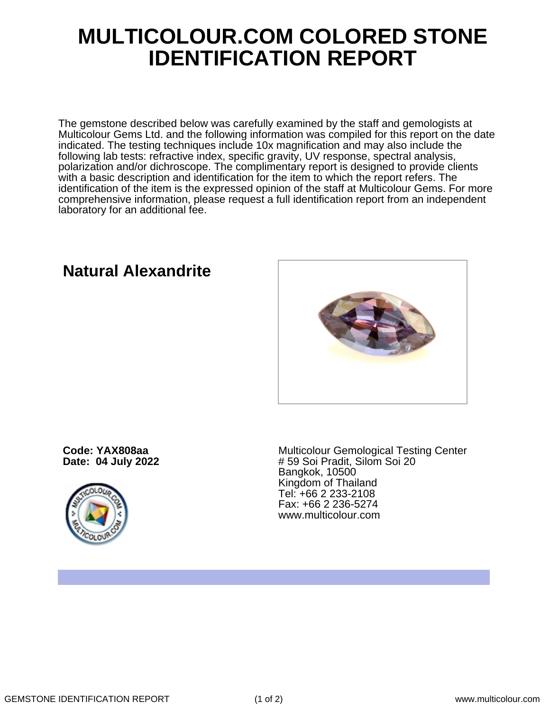## **MULTICOLOUR.COM COLORED STONE IDENTIFICATION REPORT**

The gemstone described below was carefully examined by the staff and gemologists at Multicolour Gems Ltd. and the following information was compiled for this report on the date indicated. The testing techniques include 10x magnification and may also include the following lab tests: refractive index, specific gravity, UV response, spectral analysis, polarization and/or dichroscope. The complimentary report is designed to provide clients with a basic description and identification for the item to which the report refers. The identification of the item is the expressed opinion of the staff at Multicolour Gems. For more comprehensive information, please request a full identification report from an independent laboratory for an additional fee.

**Natural Alexandrite**

**Code: YAX808aa Date: 04 July 2022**



Multicolour Gemological Testing Center # 59 Soi Pradit, Silom Soi 20 Bangkok, 10500 Kingdom of Thailand Tel: +66 2 233-2108 Fax: +66 2 236-5274 www.multicolour.com